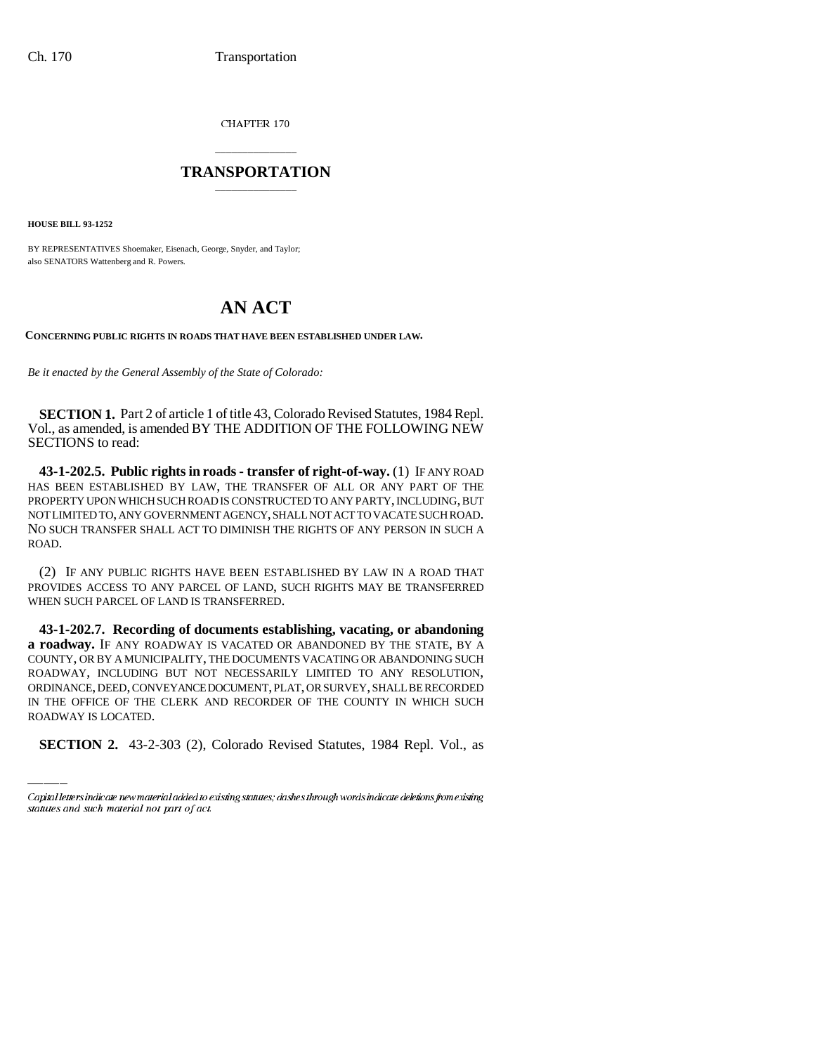CHAPTER 170

## \_\_\_\_\_\_\_\_\_\_\_\_\_\_\_ **TRANSPORTATION** \_\_\_\_\_\_\_\_\_\_\_\_\_\_\_

**HOUSE BILL 93-1252**

BY REPRESENTATIVES Shoemaker, Eisenach, George, Snyder, and Taylor; also SENATORS Wattenberg and R. Powers.

## **AN ACT**

**CONCERNING PUBLIC RIGHTS IN ROADS THAT HAVE BEEN ESTABLISHED UNDER LAW.**

*Be it enacted by the General Assembly of the State of Colorado:*

**SECTION 1.** Part 2 of article 1 of title 43, Colorado Revised Statutes, 1984 Repl. Vol., as amended, is amended BY THE ADDITION OF THE FOLLOWING NEW SECTIONS to read:

**43-1-202.5. Public rights in roads - transfer of right-of-way.** (1) IF ANY ROAD HAS BEEN ESTABLISHED BY LAW, THE TRANSFER OF ALL OR ANY PART OF THE PROPERTY UPON WHICH SUCH ROAD IS CONSTRUCTED TO ANY PARTY, INCLUDING, BUT NOT LIMITED TO, ANY GOVERNMENT AGENCY, SHALL NOT ACT TO VACATE SUCH ROAD. NO SUCH TRANSFER SHALL ACT TO DIMINISH THE RIGHTS OF ANY PERSON IN SUCH A ROAD.

(2) IF ANY PUBLIC RIGHTS HAVE BEEN ESTABLISHED BY LAW IN A ROAD THAT PROVIDES ACCESS TO ANY PARCEL OF LAND, SUCH RIGHTS MAY BE TRANSFERRED WHEN SUCH PARCEL OF LAND IS TRANSFERRED.

ORDINANCE, DEED, CONVEYANCE DOCUMENT, PLAT, OR SURVEY, SHALL BE RECORDED **43-1-202.7. Recording of documents establishing, vacating, or abandoning a roadway.** IF ANY ROADWAY IS VACATED OR ABANDONED BY THE STATE, BY A COUNTY, OR BY A MUNICIPALITY, THE DOCUMENTS VACATING OR ABANDONING SUCH ROADWAY, INCLUDING BUT NOT NECESSARILY LIMITED TO ANY RESOLUTION, IN THE OFFICE OF THE CLERK AND RECORDER OF THE COUNTY IN WHICH SUCH ROADWAY IS LOCATED.

**SECTION 2.** 43-2-303 (2), Colorado Revised Statutes, 1984 Repl. Vol., as

Capital letters indicate new material added to existing statutes; dashes through words indicate deletions from existing statutes and such material not part of act.